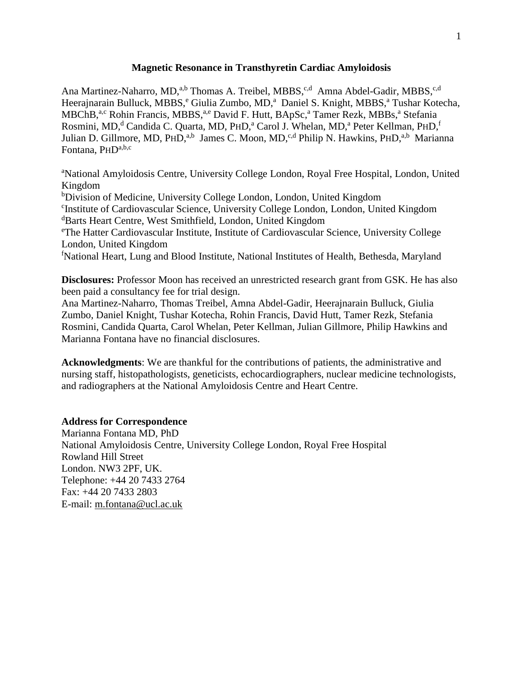#### **Magnetic Resonance in Transthyretin Cardiac Amyloidosis**

Ana Martinez-Naharro, MD,<sup>a,b</sup> Thomas A. Treibel, MBBS,<sup>c,d</sup> Amna Abdel-Gadir, MBBS,<sup>c,d</sup> Heerajnarain Bulluck, MBBS,<sup>e</sup> Giulia Zumbo, MD,<sup>a</sup> Daniel S. Knight, MBBS,<sup>a</sup> Tushar Kotecha, MBChB,<sup>a,c</sup> Rohin Francis, MBBS,<sup>a,e</sup> David F. Hutt, BApSc,<sup>a</sup> Tamer Rezk, MBBs,<sup>a</sup> Stefania Rosmini, MD,<sup>d</sup> Candida C. Quarta, MD, PHD,<sup>a</sup> Carol J. Whelan, MD,<sup>a</sup> Peter Kellman, PHD,<sup>f</sup> Julian D. Gillmore, MD, PHD,<sup>a,b</sup> James C. Moon, MD,<sup>c,d</sup> Philip N. Hawkins, PHD,<sup>a,b</sup> Marianna Fontana, PHD<sup>a,b,c</sup>

<sup>a</sup>National Amyloidosis Centre, University College London, Royal Free Hospital, London, United Kingdom b<sub>D</sub>ivision of Medicine, University College London, London, United Kingdom c Institute of Cardiovascular Science, University College London, London, United Kingdom <sup>d</sup>Barts Heart Centre, West Smithfield, London, United Kingdom <sup>e</sup>The Hatter Cardiovascular Institute, Institute of Cardiovascular Science, University College London, United Kingdom <sup>f</sup>National Heart, Lung and Blood Institute, National Institutes of Health, Bethesda, Maryland

**Disclosures:** Professor Moon has received an unrestricted research grant from GSK. He has also been paid a consultancy fee for trial design.

Ana Martinez-Naharro, Thomas Treibel, Amna Abdel-Gadir, Heerajnarain Bulluck, Giulia Zumbo, Daniel Knight, Tushar Kotecha, Rohin Francis, David Hutt, Tamer Rezk, Stefania Rosmini, Candida Quarta, Carol Whelan, Peter Kellman, Julian Gillmore, Philip Hawkins and Marianna Fontana have no financial disclosures.

**Acknowledgments**: We are thankful for the contributions of patients, the administrative and nursing staff, histopathologists, geneticists, echocardiographers, nuclear medicine technologists, and radiographers at the National Amyloidosis Centre and Heart Centre.

## **Address for Correspondence**

Marianna Fontana MD, PhD National Amyloidosis Centre, University College London, Royal Free Hospital Rowland Hill Street London. NW3 2PF, UK. Telephone: +44 20 7433 2764 Fax: +44 20 7433 2803 E-mail: [m.fontana@ucl.ac.uk](mailto:m.fontana@ucl.ac.uk)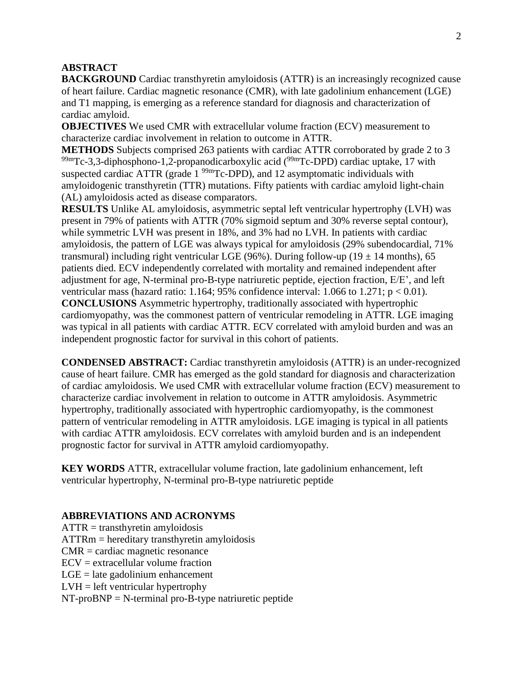## **ABSTRACT**

**BACKGROUND** Cardiac transthyretin amyloidosis (ATTR) is an increasingly recognized cause of heart failure. Cardiac magnetic resonance (CMR), with late gadolinium enhancement (LGE) and T1 mapping, is emerging as a reference standard for diagnosis and characterization of cardiac amyloid.

**OBJECTIVES** We used CMR with extracellular volume fraction (ECV) measurement to characterize cardiac involvement in relation to outcome in ATTR.

**METHODS** Subjects comprised 263 patients with cardiac ATTR corroborated by grade 2 to 3  $99<sup>99</sup>$ mTc-3,3-diphosphono-1,2-propanodicarboxylic acid ( $9<sup>99</sup>$ mTc-DPD) cardiac uptake, 17 with suspected cardiac ATTR (grade  $1^{99m}$ Tc-DPD), and 12 asymptomatic individuals with amyloidogenic transthyretin (TTR) mutations. Fifty patients with cardiac amyloid light-chain (AL) amyloidosis acted as disease comparators.

**RESULTS** Unlike AL amyloidosis, asymmetric septal left ventricular hypertrophy (LVH) was present in 79% of patients with ATTR (70% sigmoid septum and 30% reverse septal contour), while symmetric LVH was present in 18%, and 3% had no LVH. In patients with cardiac amyloidosis, the pattern of LGE was always typical for amyloidosis (29% subendocardial, 71% transmural) including right ventricular LGE (96%). During follow-up (19  $\pm$  14 months), 65 patients died. ECV independently correlated with mortality and remained independent after adjustment for age, N-terminal pro-B-type natriuretic peptide, ejection fraction, E/E', and left ventricular mass (hazard ratio: 1.164; 95% confidence interval: 1.066 to 1.271;  $p < 0.01$ ). **CONCLUSIONS** Asymmetric hypertrophy, traditionally associated with hypertrophic cardiomyopathy, was the commonest pattern of ventricular remodeling in ATTR. LGE imaging was typical in all patients with cardiac ATTR. ECV correlated with amyloid burden and was an independent prognostic factor for survival in this cohort of patients.

**CONDENSED ABSTRACT:** Cardiac transthyretin amyloidosis (ATTR) is an under-recognized cause of heart failure. CMR has emerged as the gold standard for diagnosis and characterization of cardiac amyloidosis. We used CMR with extracellular volume fraction (ECV) measurement to characterize cardiac involvement in relation to outcome in ATTR amyloidosis. Asymmetric hypertrophy, traditionally associated with hypertrophic cardiomyopathy, is the commonest pattern of ventricular remodeling in ATTR amyloidosis. LGE imaging is typical in all patients with cardiac ATTR amyloidosis. ECV correlates with amyloid burden and is an independent prognostic factor for survival in ATTR amyloid cardiomyopathy.

**KEY WORDS** ATTR, extracellular volume fraction, late gadolinium enhancement, left ventricular hypertrophy, N-terminal pro-B-type natriuretic peptide

## **ABBREVIATIONS AND ACRONYMS**

 $ATTR =$  transthyretin amyloidosis ATTRm = hereditary transthyretin amyloidosis CMR = cardiac magnetic resonance  $ECV =$  extracellular volume fraction  $LGE =$  late gadolinium enhancement  $LVH = left$  ventricular hypertrophy  $NT-proBNP = N-terminal pro-B-type antriuretic peptide$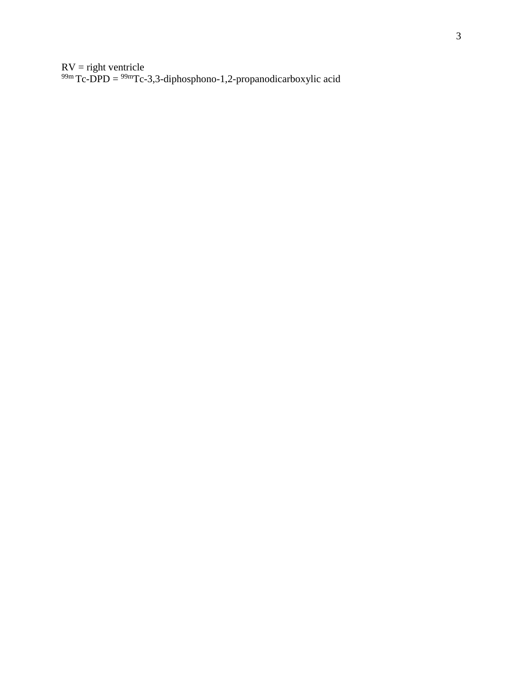$RV =$  right ventricle  $^{99m}$ Tc-DPD =  $^{99m}$ Tc-3,3-diphosphono-1,2-propanodicarboxylic acid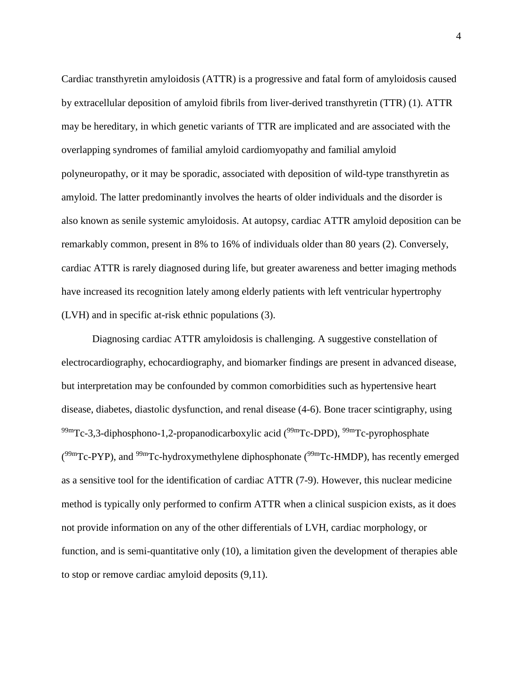Cardiac transthyretin amyloidosis (ATTR) is a progressive and fatal form of amyloidosis caused by extracellular deposition of amyloid fibrils from liver-derived transthyretin (TTR) (1). ATTR may be hereditary, in which genetic variants of TTR are implicated and are associated with the overlapping syndromes of familial amyloid cardiomyopathy and familial amyloid polyneuropathy, or it may be sporadic, associated with deposition of wild-type transthyretin as amyloid. The latter predominantly involves the hearts of older individuals and the disorder is also known as senile systemic amyloidosis. At autopsy, cardiac ATTR amyloid deposition can be remarkably common, present in 8% to 16% of individuals older than 80 years (2). Conversely, cardiac ATTR is rarely diagnosed during life, but greater awareness and better imaging methods have increased its recognition lately among elderly patients with left ventricular hypertrophy (LVH) and in specific at-risk ethnic populations (3).

Diagnosing cardiac ATTR amyloidosis is challenging. A suggestive constellation of electrocardiography, echocardiography, and biomarker findings are present in advanced disease, but interpretation may be confounded by common comorbidities such as hypertensive heart disease, diabetes, diastolic dysfunction, and renal disease (4-6). Bone tracer scintigraphy, using <sup>99m</sup>Tc-3,3-diphosphono-1,2-propanodicarboxylic acid (<sup>99m</sup>Tc-DPD), <sup>99m</sup>Tc-pyrophosphate  $(^{99m}$ Tc-PYP), and  $^{99m}$ Tc-hydroxymethylene diphosphonate  $(^{99m}$ Tc-HMDP), has recently emerged as a sensitive tool for the identification of cardiac ATTR (7-9). However, this nuclear medicine method is typically only performed to confirm ATTR when a clinical suspicion exists, as it does not provide information on any of the other differentials of LVH, cardiac morphology, or function, and is semi-quantitative only (10), a limitation given the development of therapies able to stop or remove cardiac amyloid deposits (9,11).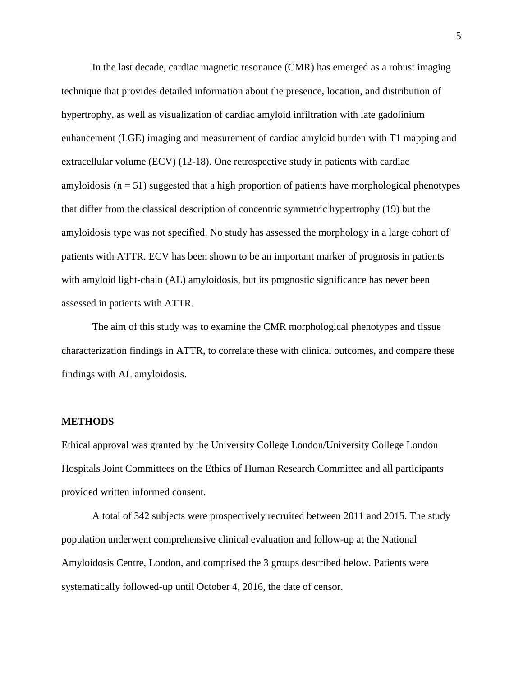In the last decade, cardiac magnetic resonance (CMR) has emerged as a robust imaging technique that provides detailed information about the presence, location, and distribution of hypertrophy, as well as visualization of cardiac amyloid infiltration with late gadolinium enhancement (LGE) imaging and measurement of cardiac amyloid burden with T1 mapping and extracellular volume (ECV) (12-18). One retrospective study in patients with cardiac amyloidosis ( $n = 51$ ) suggested that a high proportion of patients have morphological phenotypes that differ from the classical description of concentric symmetric hypertrophy (19) but the amyloidosis type was not specified. No study has assessed the morphology in a large cohort of patients with ATTR. ECV has been shown to be an important marker of prognosis in patients with amyloid light-chain (AL) amyloidosis, but its prognostic significance has never been assessed in patients with ATTR.

The aim of this study was to examine the CMR morphological phenotypes and tissue characterization findings in ATTR, to correlate these with clinical outcomes, and compare these findings with AL amyloidosis.

#### **METHODS**

Ethical approval was granted by the University College London/University College London Hospitals Joint Committees on the Ethics of Human Research Committee and all participants provided written informed consent.

A total of 342 subjects were prospectively recruited between 2011 and 2015. The study population underwent comprehensive clinical evaluation and follow-up at the National Amyloidosis Centre, London, and comprised the 3 groups described below. Patients were systematically followed-up until October 4, 2016, the date of censor.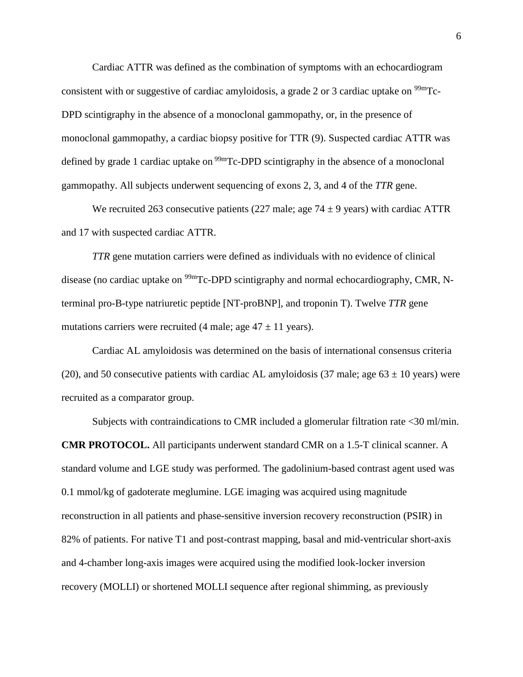Cardiac ATTR was defined as the combination of symptoms with an echocardiogram consistent with or suggestive of cardiac amyloidosis, a grade 2 or 3 cardiac uptake on  $\frac{99 \text{m}}{2}$ . DPD scintigraphy in the absence of a monoclonal gammopathy, or, in the presence of monoclonal gammopathy, a cardiac biopsy positive for TTR (9). Suspected cardiac ATTR was defined by grade 1 cardiac uptake on  $\frac{99 \text{m}}{C}$ -DPD scintigraphy in the absence of a monoclonal gammopathy. All subjects underwent sequencing of exons 2, 3, and 4 of the *TTR* gene.

We recruited 263 consecutive patients (227 male; age  $74 \pm 9$  years) with cardiac ATTR and 17 with suspected cardiac ATTR.

*TTR* gene mutation carriers were defined as individuals with no evidence of clinical disease (no cardiac uptake on <sup>99m</sup>Tc-DPD scintigraphy and normal echocardiography, CMR, Nterminal pro-B-type natriuretic peptide [NT-proBNP], and troponin T). Twelve *TTR* gene mutations carriers were recruited (4 male; age  $47 \pm 11$  years).

Cardiac AL amyloidosis was determined on the basis of international consensus criteria (20), and 50 consecutive patients with cardiac AL amyloidosis (37 male; age  $63 \pm 10$  years) were recruited as a comparator group.

Subjects with contraindications to CMR included a glomerular filtration rate <30 ml/min. **CMR PROTOCOL.** All participants underwent standard CMR on a 1.5-T clinical scanner. A standard volume and LGE study was performed. The gadolinium-based contrast agent used was 0.1 mmol/kg of gadoterate meglumine. LGE imaging was acquired using magnitude reconstruction in all patients and phase-sensitive inversion recovery reconstruction (PSIR) in 82% of patients. For native T1 and post-contrast mapping, basal and mid-ventricular short-axis and 4-chamber long-axis images were acquired using the modified look-locker inversion recovery (MOLLI) or shortened MOLLI sequence after regional shimming, as previously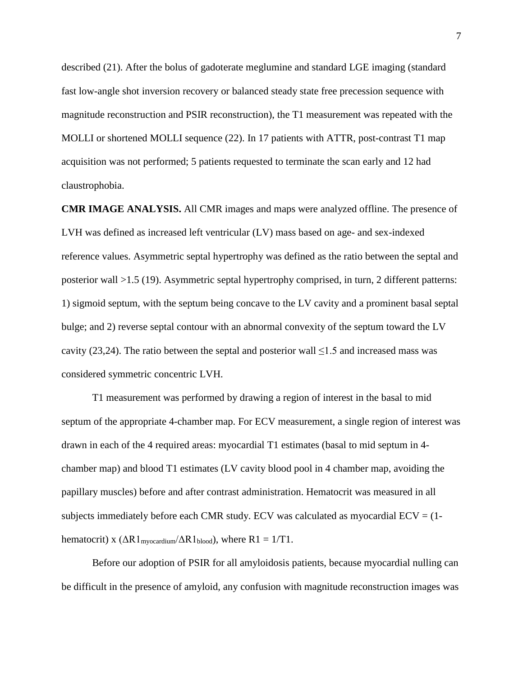described (21). After the bolus of gadoterate meglumine and standard LGE imaging (standard fast low-angle shot inversion recovery or balanced steady state free precession sequence with magnitude reconstruction and PSIR reconstruction), the T1 measurement was repeated with the MOLLI or shortened MOLLI sequence (22). In 17 patients with ATTR, post-contrast T1 map acquisition was not performed; 5 patients requested to terminate the scan early and 12 had claustrophobia.

**CMR IMAGE ANALYSIS.** All CMR images and maps were analyzed offline. The presence of LVH was defined as increased left ventricular (LV) mass based on age- and sex-indexed reference values. Asymmetric septal hypertrophy was defined as the ratio between the septal and posterior wall >1.5 (19). Asymmetric septal hypertrophy comprised, in turn, 2 different patterns: 1) sigmoid septum, with the septum being concave to the LV cavity and a prominent basal septal bulge; and 2) reverse septal contour with an abnormal convexity of the septum toward the LV cavity (23,24). The ratio between the septal and posterior wall  $\leq 1.5$  and increased mass was considered symmetric concentric LVH.

T1 measurement was performed by drawing a region of interest in the basal to mid septum of the appropriate 4-chamber map. For ECV measurement, a single region of interest was drawn in each of the 4 required areas: myocardial T1 estimates (basal to mid septum in 4 chamber map) and blood T1 estimates (LV cavity blood pool in 4 chamber map, avoiding the papillary muscles) before and after contrast administration. Hematocrit was measured in all subjects immediately before each CMR study. ECV was calculated as myocardial  $ECV = (1$ hematocrit) x  $( \Delta R1_{\text{myocardium}} / \Delta R1_{\text{blood}})$ , where  $R1 = 1/T1$ .

Before our adoption of PSIR for all amyloidosis patients, because myocardial nulling can be difficult in the presence of amyloid, any confusion with magnitude reconstruction images was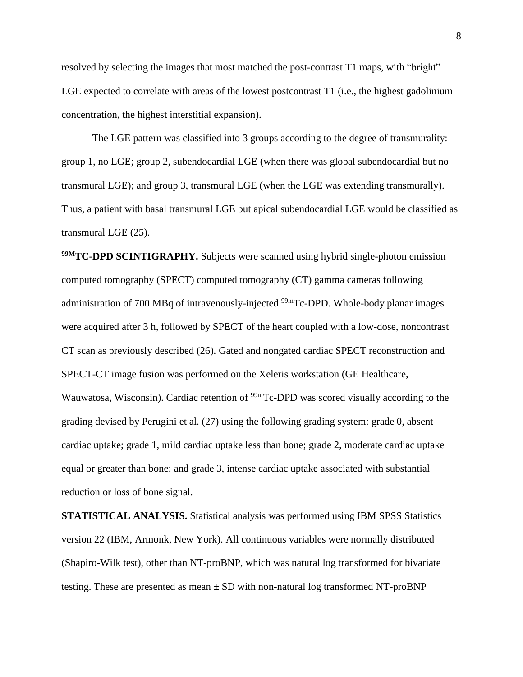resolved by selecting the images that most matched the post-contrast T1 maps, with "bright" LGE expected to correlate with areas of the lowest postcontrast T1 (i.e., the highest gadolinium concentration, the highest interstitial expansion).

The LGE pattern was classified into 3 groups according to the degree of transmurality: group 1, no LGE; group 2, subendocardial LGE (when there was global subendocardial but no transmural LGE); and group 3, transmural LGE (when the LGE was extending transmurally). Thus, a patient with basal transmural LGE but apical subendocardial LGE would be classified as transmural LGE (25).

**99MTC-DPD SCINTIGRAPHY.** Subjects were scanned using hybrid single-photon emission computed tomography (SPECT) computed tomography (CT) gamma cameras following administration of 700 MBq of intravenously-injected <sup>99m</sup>Tc-DPD. Whole-body planar images were acquired after 3 h, followed by SPECT of the heart coupled with a low-dose, noncontrast CT scan as previously described (26). Gated and nongated cardiac SPECT reconstruction and SPECT-CT image fusion was performed on the Xeleris workstation (GE Healthcare, Wauwatosa, Wisconsin). Cardiac retention of <sup>99m</sup>Tc-DPD was scored visually according to the grading devised by Perugini et al. (27) using the following grading system: grade 0, absent cardiac uptake; grade 1, mild cardiac uptake less than bone; grade 2, moderate cardiac uptake equal or greater than bone; and grade 3, intense cardiac uptake associated with substantial reduction or loss of bone signal.

**STATISTICAL ANALYSIS.** Statistical analysis was performed using IBM SPSS Statistics version 22 (IBM, Armonk, New York). All continuous variables were normally distributed (Shapiro-Wilk test), other than NT-proBNP, which was natural log transformed for bivariate testing. These are presented as mean  $\pm$  SD with non-natural log transformed NT-proBNP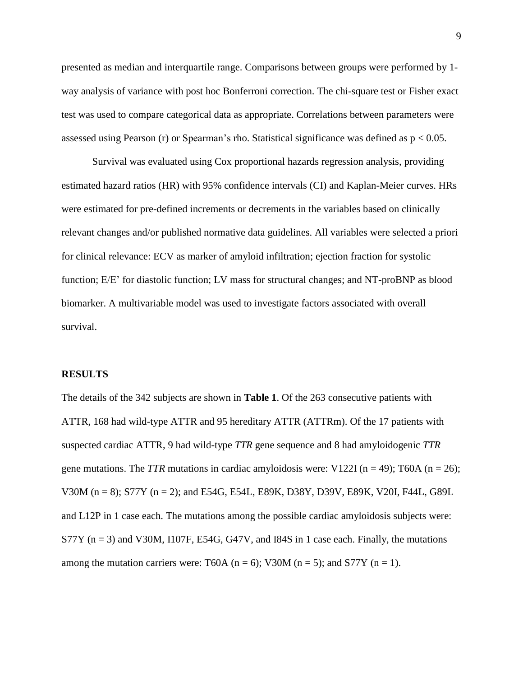presented as median and interquartile range. Comparisons between groups were performed by 1 way analysis of variance with post hoc Bonferroni correction. The chi-square test or Fisher exact test was used to compare categorical data as appropriate. Correlations between parameters were assessed using Pearson (r) or Spearman's rho. Statistical significance was defined as  $p < 0.05$ .

Survival was evaluated using Cox proportional hazards regression analysis, providing estimated hazard ratios (HR) with 95% confidence intervals (CI) and Kaplan-Meier curves. HRs were estimated for pre-defined increments or decrements in the variables based on clinically relevant changes and/or published normative data guidelines. All variables were selected a priori for clinical relevance: ECV as marker of amyloid infiltration; ejection fraction for systolic function; E/E' for diastolic function; LV mass for structural changes; and NT-proBNP as blood biomarker. A multivariable model was used to investigate factors associated with overall survival.

#### **RESULTS**

The details of the 342 subjects are shown in **Table 1**. Of the 263 consecutive patients with ATTR, 168 had wild-type ATTR and 95 hereditary ATTR (ATTRm). Of the 17 patients with suspected cardiac ATTR, 9 had wild-type *TTR* gene sequence and 8 had amyloidogenic *TTR* gene mutations. The *TTR* mutations in cardiac amyloidosis were: V122I ( $n = 49$ ); T60A ( $n = 26$ ); V30M (n = 8); S77Y (n = 2); and E54G, E54L, E89K, D38Y, D39V, E89K, V20I, F44L, G89L and L12P in 1 case each. The mutations among the possible cardiac amyloidosis subjects were: S77Y ( $n = 3$ ) and V30M, I107F, E54G, G47V, and I84S in 1 case each. Finally, the mutations among the mutation carriers were: T60A ( $n = 6$ ); V30M ( $n = 5$ ); and S77Y ( $n = 1$ ).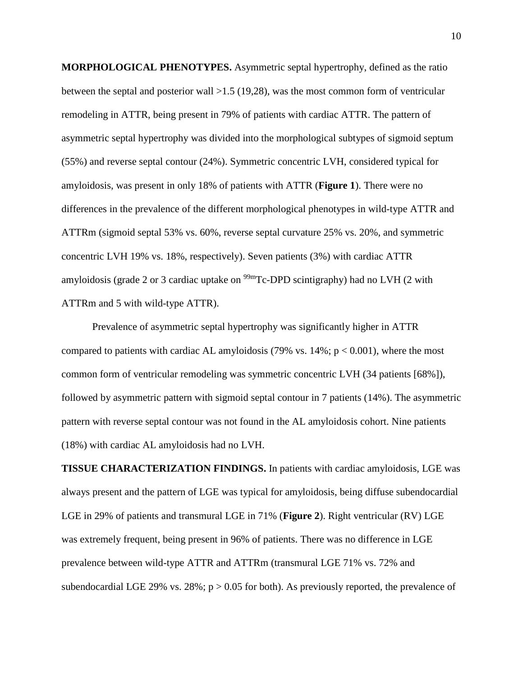**MORPHOLOGICAL PHENOTYPES.** Asymmetric septal hypertrophy, defined as the ratio between the septal and posterior wall >1.5 (19,28), was the most common form of ventricular remodeling in ATTR, being present in 79% of patients with cardiac ATTR. The pattern of asymmetric septal hypertrophy was divided into the morphological subtypes of sigmoid septum (55%) and reverse septal contour (24%). Symmetric concentric LVH, considered typical for amyloidosis, was present in only 18% of patients with ATTR (**Figure 1**). There were no differences in the prevalence of the different morphological phenotypes in wild-type ATTR and ATTRm (sigmoid septal 53% vs. 60%, reverse septal curvature 25% vs. 20%, and symmetric concentric LVH 19% vs. 18%, respectively). Seven patients (3%) with cardiac ATTR amyloidosis (grade 2 or 3 cardiac uptake on  $99m$ Tc-DPD scintigraphy) had no LVH (2 with ATTRm and 5 with wild-type ATTR).

Prevalence of asymmetric septal hypertrophy was significantly higher in ATTR compared to patients with cardiac AL amyloidosis (79% vs.  $14\%$ ;  $p < 0.001$ ), where the most common form of ventricular remodeling was symmetric concentric LVH (34 patients [68%]), followed by asymmetric pattern with sigmoid septal contour in 7 patients (14%). The asymmetric pattern with reverse septal contour was not found in the AL amyloidosis cohort. Nine patients (18%) with cardiac AL amyloidosis had no LVH.

**TISSUE CHARACTERIZATION FINDINGS.** In patients with cardiac amyloidosis, LGE was always present and the pattern of LGE was typical for amyloidosis, being diffuse subendocardial LGE in 29% of patients and transmural LGE in 71% (**Figure 2**). Right ventricular (RV) LGE was extremely frequent, being present in 96% of patients. There was no difference in LGE prevalence between wild-type ATTR and ATTRm (transmural LGE 71% vs. 72% and subendocardial LGE 29% vs. 28%;  $p > 0.05$  for both). As previously reported, the prevalence of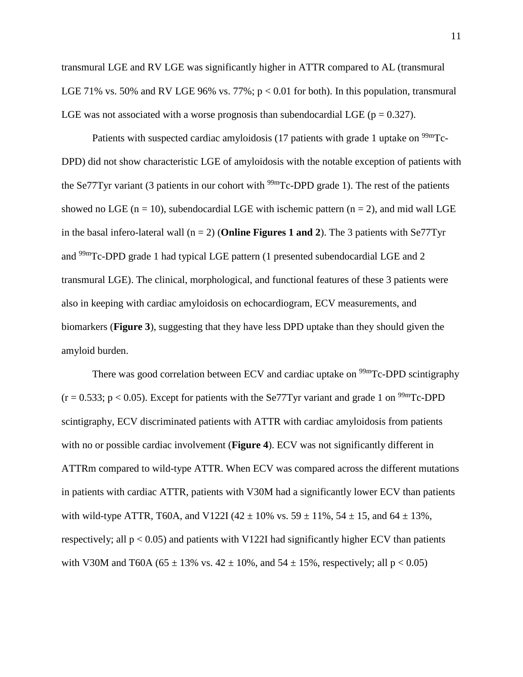transmural LGE and RV LGE was significantly higher in ATTR compared to AL (transmural LGE 71% vs. 50% and RV LGE 96% vs. 77%;  $p < 0.01$  for both). In this population, transmural LGE was not associated with a worse prognosis than subendocardial LGE ( $p = 0.327$ ).

Patients with suspected cardiac amyloidosis (17 patients with grade 1 uptake on  $\frac{99 \text{m}}{2}$ C-DPD) did not show characteristic LGE of amyloidosis with the notable exception of patients with the Se77Tyr variant (3 patients in our cohort with  $\frac{99 \text{m}}{\text{Tc-DPD}}$  grade 1). The rest of the patients showed no LGE ( $n = 10$ ), subendocardial LGE with ischemic pattern ( $n = 2$ ), and mid wall LGE in the basal infero-lateral wall (n = 2) (**Online Figures 1 and 2**). The 3 patients with Se77Tyr and 99mTc-DPD grade 1 had typical LGE pattern (1 presented subendocardial LGE and 2 transmural LGE). The clinical, morphological, and functional features of these 3 patients were also in keeping with cardiac amyloidosis on echocardiogram, ECV measurements, and biomarkers (**Figure 3**), suggesting that they have less DPD uptake than they should given the amyloid burden.

There was good correlation between ECV and cardiac uptake on  $99mTc$ -DPD scintigraphy  $(r = 0.533; p < 0.05)$ . Except for patients with the Se77Tyr variant and grade 1 on <sup>99m</sup>Tc-DPD scintigraphy, ECV discriminated patients with ATTR with cardiac amyloidosis from patients with no or possible cardiac involvement (**Figure 4**). ECV was not significantly different in ATTRm compared to wild-type ATTR. When ECV was compared across the different mutations in patients with cardiac ATTR, patients with V30M had a significantly lower ECV than patients with wild-type ATTR, T60A, and V122I (42  $\pm$  10% vs. 59  $\pm$  11%, 54  $\pm$  15, and 64  $\pm$  13%, respectively; all  $p < 0.05$ ) and patients with V122I had significantly higher ECV than patients with V30M and T60A (65  $\pm$  13% vs. 42  $\pm$  10%, and 54  $\pm$  15%, respectively; all p < 0.05)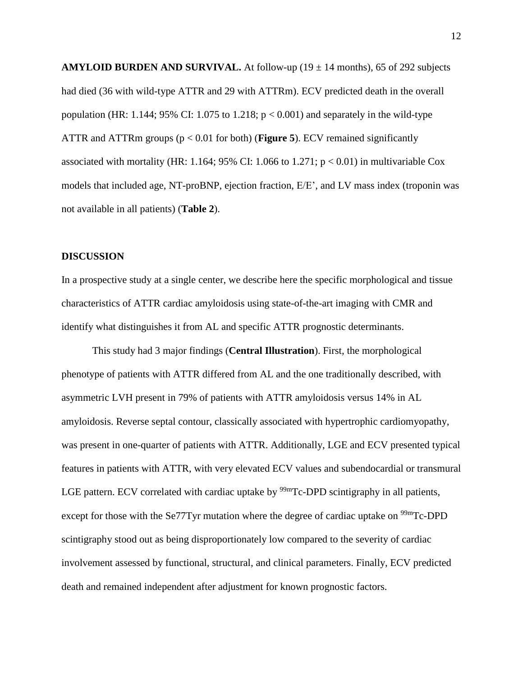**AMYLOID BURDEN AND SURVIVAL.** At follow-up  $(19 \pm 14 \text{ months})$ , 65 of 292 subjects had died (36 with wild-type ATTR and 29 with ATTRm). ECV predicted death in the overall population (HR: 1.144; 95% CI: 1.075 to 1.218;  $p < 0.001$ ) and separately in the wild-type ATTR and ATTRm groups (p < 0.01 for both) (**Figure 5**). ECV remained significantly associated with mortality (HR: 1.164; 95% CI: 1.066 to 1.271;  $p < 0.01$ ) in multivariable Cox models that included age, NT-proBNP, ejection fraction, E/E', and LV mass index (troponin was not available in all patients) (**Table 2**).

#### **DISCUSSION**

In a prospective study at a single center, we describe here the specific morphological and tissue characteristics of ATTR cardiac amyloidosis using state-of-the-art imaging with CMR and identify what distinguishes it from AL and specific ATTR prognostic determinants.

This study had 3 major findings (**Central Illustration**). First, the morphological phenotype of patients with ATTR differed from AL and the one traditionally described, with asymmetric LVH present in 79% of patients with ATTR amyloidosis versus 14% in AL amyloidosis. Reverse septal contour, classically associated with hypertrophic cardiomyopathy, was present in one-quarter of patients with ATTR. Additionally, LGE and ECV presented typical features in patients with ATTR, with very elevated ECV values and subendocardial or transmural LGE pattern. ECV correlated with cardiac uptake by  $\frac{99 \text{m}}{2}$ C-DPD scintigraphy in all patients, except for those with the Se77Tyr mutation where the degree of cardiac uptake on  $\frac{99 \text{m}}{2}$ C-DPD scintigraphy stood out as being disproportionately low compared to the severity of cardiac involvement assessed by functional, structural, and clinical parameters. Finally, ECV predicted death and remained independent after adjustment for known prognostic factors.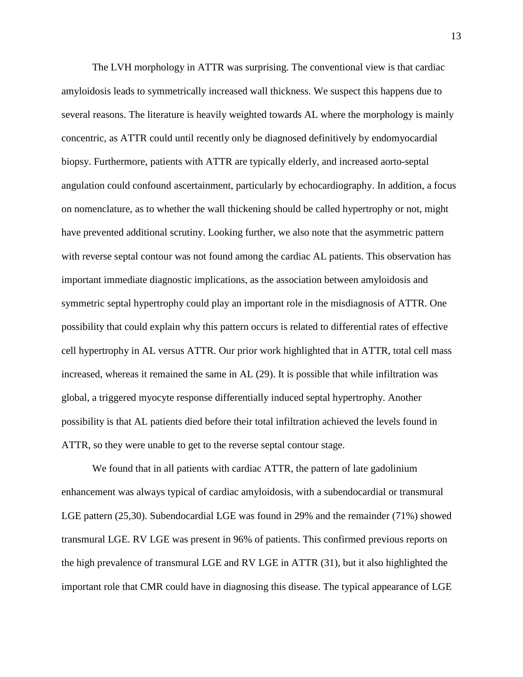The LVH morphology in ATTR was surprising. The conventional view is that cardiac amyloidosis leads to symmetrically increased wall thickness. We suspect this happens due to several reasons. The literature is heavily weighted towards AL where the morphology is mainly concentric, as ATTR could until recently only be diagnosed definitively by endomyocardial biopsy. Furthermore, patients with ATTR are typically elderly, and increased aorto-septal angulation could confound ascertainment, particularly by echocardiography. In addition, a focus on nomenclature, as to whether the wall thickening should be called hypertrophy or not, might have prevented additional scrutiny. Looking further, we also note that the asymmetric pattern with reverse septal contour was not found among the cardiac AL patients. This observation has important immediate diagnostic implications, as the association between amyloidosis and symmetric septal hypertrophy could play an important role in the misdiagnosis of ATTR. One possibility that could explain why this pattern occurs is related to differential rates of effective cell hypertrophy in AL versus ATTR. Our prior work highlighted that in ATTR, total cell mass increased, whereas it remained the same in AL (29). It is possible that while infiltration was global, a triggered myocyte response differentially induced septal hypertrophy. Another possibility is that AL patients died before their total infiltration achieved the levels found in ATTR, so they were unable to get to the reverse septal contour stage.

We found that in all patients with cardiac ATTR, the pattern of late gadolinium enhancement was always typical of cardiac amyloidosis, with a subendocardial or transmural LGE pattern (25,30). Subendocardial LGE was found in 29% and the remainder (71%) showed transmural LGE. RV LGE was present in 96% of patients. This confirmed previous reports on the high prevalence of transmural LGE and RV LGE in ATTR (31), but it also highlighted the important role that CMR could have in diagnosing this disease. The typical appearance of LGE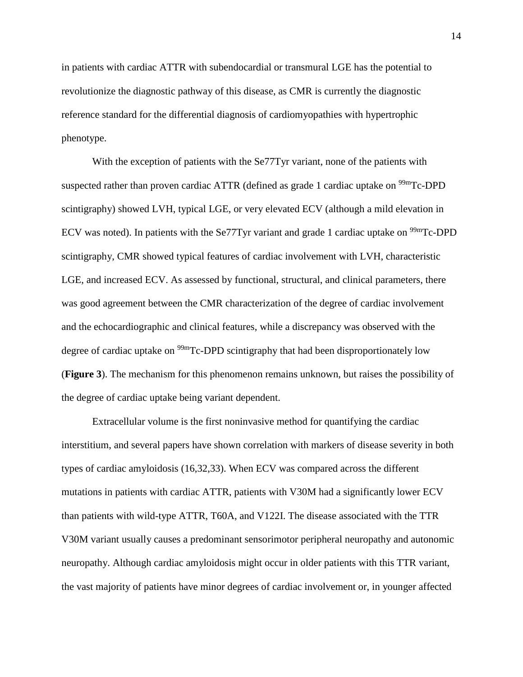in patients with cardiac ATTR with subendocardial or transmural LGE has the potential to revolutionize the diagnostic pathway of this disease, as CMR is currently the diagnostic reference standard for the differential diagnosis of cardiomyopathies with hypertrophic phenotype.

With the exception of patients with the Se77Tyr variant, none of the patients with suspected rather than proven cardiac ATTR (defined as grade 1 cardiac uptake on  $\frac{99 \text{m}}{\text{C}}$ -DPD scintigraphy) showed LVH, typical LGE, or very elevated ECV (although a mild elevation in ECV was noted). In patients with the Se77Tyr variant and grade 1 cardiac uptake on  $\frac{99 \text{m}}{2}$ C-DPD scintigraphy, CMR showed typical features of cardiac involvement with LVH, characteristic LGE, and increased ECV. As assessed by functional, structural, and clinical parameters, there was good agreement between the CMR characterization of the degree of cardiac involvement and the echocardiographic and clinical features, while a discrepancy was observed with the degree of cardiac uptake on <sup>99m</sup>Tc-DPD scintigraphy that had been disproportionately low (**Figure 3**). The mechanism for this phenomenon remains unknown, but raises the possibility of the degree of cardiac uptake being variant dependent.

Extracellular volume is the first noninvasive method for quantifying the cardiac interstitium, and several papers have shown correlation with markers of disease severity in both types of cardiac amyloidosis (16,32,33). When ECV was compared across the different mutations in patients with cardiac ATTR, patients with V30M had a significantly lower ECV than patients with wild-type ATTR, T60A, and V122I. The disease associated with the TTR V30M variant usually causes a predominant sensorimotor peripheral neuropathy and autonomic neuropathy. Although cardiac amyloidosis might occur in older patients with this TTR variant, the vast majority of patients have minor degrees of cardiac involvement or, in younger affected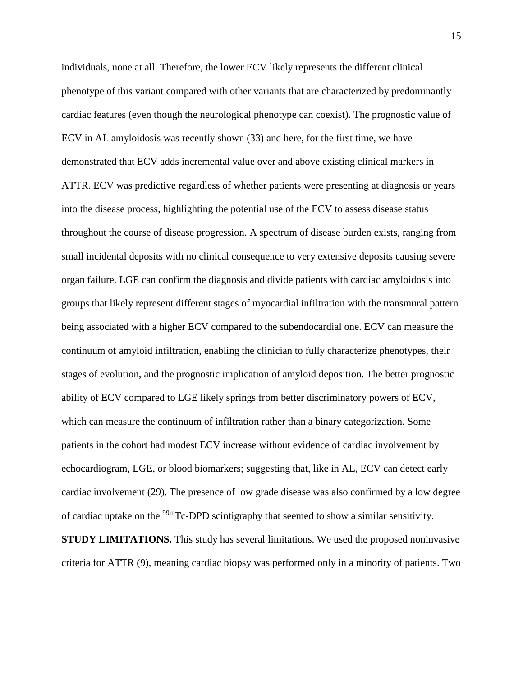individuals, none at all. Therefore, the lower ECV likely represents the different clinical phenotype of this variant compared with other variants that are characterized by predominantly cardiac features (even though the neurological phenotype can coexist). The prognostic value of ECV in AL amyloidosis was recently shown (33) and here, for the first time, we have demonstrated that ECV adds incremental value over and above existing clinical markers in ATTR. ECV was predictive regardless of whether patients were presenting at diagnosis or years into the disease process, highlighting the potential use of the ECV to assess disease status throughout the course of disease progression. A spectrum of disease burden exists, ranging from small incidental deposits with no clinical consequence to very extensive deposits causing severe organ failure. LGE can confirm the diagnosis and divide patients with cardiac amyloidosis into groups that likely represent different stages of myocardial infiltration with the transmural pattern being associated with a higher ECV compared to the subendocardial one. ECV can measure the continuum of amyloid infiltration, enabling the clinician to fully characterize phenotypes, their stages of evolution, and the prognostic implication of amyloid deposition. The better prognostic ability of ECV compared to LGE likely springs from better discriminatory powers of ECV, which can measure the continuum of infiltration rather than a binary categorization. Some patients in the cohort had modest ECV increase without evidence of cardiac involvement by echocardiogram, LGE, or blood biomarkers; suggesting that, like in AL, ECV can detect early cardiac involvement (29). The presence of low grade disease was also confirmed by a low degree of cardiac uptake on the  $99m$ Tc-DPD scintigraphy that seemed to show a similar sensitivity.

**STUDY LIMITATIONS.** This study has several limitations. We used the proposed noninvasive criteria for ATTR (9), meaning cardiac biopsy was performed only in a minority of patients. Two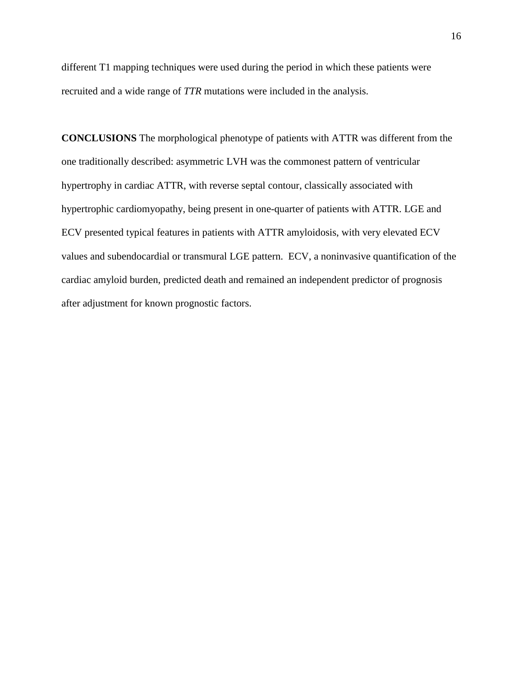different T1 mapping techniques were used during the period in which these patients were recruited and a wide range of *TTR* mutations were included in the analysis.

**CONCLUSIONS** The morphological phenotype of patients with ATTR was different from the one traditionally described: asymmetric LVH was the commonest pattern of ventricular hypertrophy in cardiac ATTR, with reverse septal contour, classically associated with hypertrophic cardiomyopathy, being present in one-quarter of patients with ATTR. LGE and ECV presented typical features in patients with ATTR amyloidosis, with very elevated ECV values and subendocardial or transmural LGE pattern. ECV, a noninvasive quantification of the cardiac amyloid burden, predicted death and remained an independent predictor of prognosis after adjustment for known prognostic factors.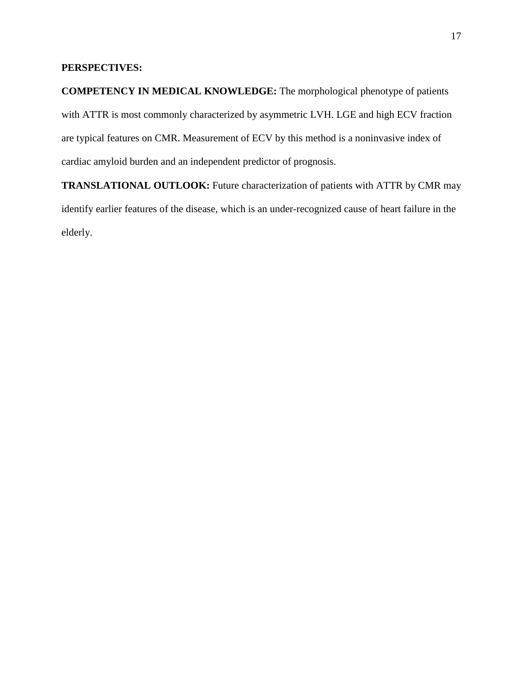## **PERSPECTIVES:**

**COMPETENCY IN MEDICAL KNOWLEDGE:** The morphological phenotype of patients with ATTR is most commonly characterized by asymmetric LVH. LGE and high ECV fraction are typical features on CMR. Measurement of ECV by this method is a noninvasive index of cardiac amyloid burden and an independent predictor of prognosis.

**TRANSLATIONAL OUTLOOK:** Future characterization of patients with ATTR by CMR may identify earlier features of the disease, which is an under-recognized cause of heart failure in the elderly.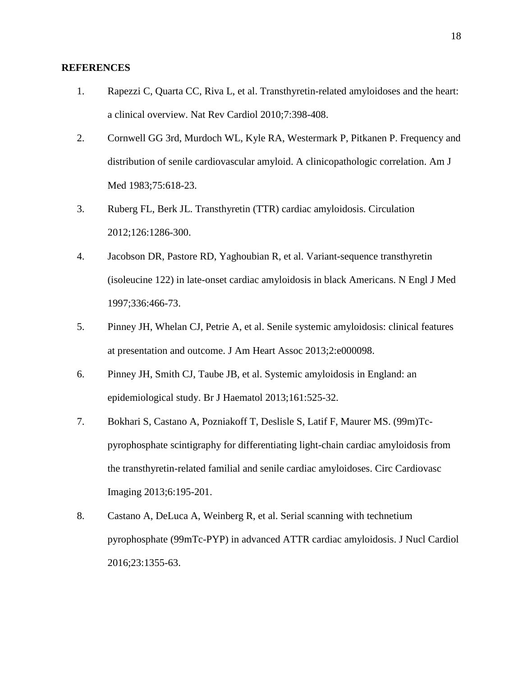#### **REFERENCES**

- 1. Rapezzi C, Quarta CC, Riva L, et al. Transthyretin-related amyloidoses and the heart: a clinical overview. Nat Rev Cardiol 2010;7:398-408.
- 2. Cornwell GG 3rd, Murdoch WL, Kyle RA, Westermark P, Pitkanen P. Frequency and distribution of senile cardiovascular amyloid. A clinicopathologic correlation. Am J Med 1983;75:618-23.
- 3. Ruberg FL, Berk JL. Transthyretin (TTR) cardiac amyloidosis. Circulation 2012;126:1286-300.
- 4. Jacobson DR, Pastore RD, Yaghoubian R, et al. Variant-sequence transthyretin (isoleucine 122) in late-onset cardiac amyloidosis in black Americans. N Engl J Med 1997;336:466-73.
- 5. Pinney JH, Whelan CJ, Petrie A, et al. Senile systemic amyloidosis: clinical features at presentation and outcome. J Am Heart Assoc 2013;2:e000098.
- 6. Pinney JH, Smith CJ, Taube JB, et al. Systemic amyloidosis in England: an epidemiological study. Br J Haematol 2013;161:525-32.
- 7. Bokhari S, Castano A, Pozniakoff T, Deslisle S, Latif F, Maurer MS. (99m)Tcpyrophosphate scintigraphy for differentiating light-chain cardiac amyloidosis from the transthyretin-related familial and senile cardiac amyloidoses. Circ Cardiovasc Imaging 2013;6:195-201.
- 8. Castano A, DeLuca A, Weinberg R, et al. Serial scanning with technetium pyrophosphate (99mTc-PYP) in advanced ATTR cardiac amyloidosis. J Nucl Cardiol 2016;23:1355-63.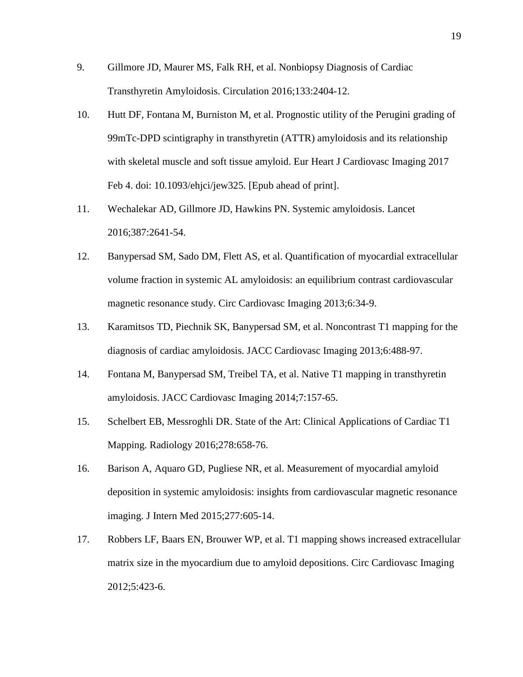- 9. Gillmore JD, Maurer MS, Falk RH, et al. Nonbiopsy Diagnosis of Cardiac Transthyretin Amyloidosis. Circulation 2016;133:2404-12.
- 10. Hutt DF, Fontana M, Burniston M, et al. Prognostic utility of the Perugini grading of 99mTc-DPD scintigraphy in transthyretin (ATTR) amyloidosis and its relationship with skeletal muscle and soft tissue amyloid. Eur Heart J Cardiovasc Imaging 2017 Feb 4. doi: 10.1093/ehjci/jew325. [Epub ahead of print].
- 11. Wechalekar AD, Gillmore JD, Hawkins PN. Systemic amyloidosis. Lancet 2016;387:2641-54.
- 12. Banypersad SM, Sado DM, Flett AS, et al. Quantification of myocardial extracellular volume fraction in systemic AL amyloidosis: an equilibrium contrast cardiovascular magnetic resonance study. Circ Cardiovasc Imaging 2013;6:34-9.
- 13. Karamitsos TD, Piechnik SK, Banypersad SM, et al. Noncontrast T1 mapping for the diagnosis of cardiac amyloidosis. JACC Cardiovasc Imaging 2013;6:488-97.
- 14. Fontana M, Banypersad SM, Treibel TA, et al. Native T1 mapping in transthyretin amyloidosis. JACC Cardiovasc Imaging 2014;7:157-65.
- 15. Schelbert EB, Messroghli DR. State of the Art: Clinical Applications of Cardiac T1 Mapping. Radiology 2016;278:658-76.
- 16. Barison A, Aquaro GD, Pugliese NR, et al. Measurement of myocardial amyloid deposition in systemic amyloidosis: insights from cardiovascular magnetic resonance imaging. J Intern Med 2015;277:605-14.
- 17. Robbers LF, Baars EN, Brouwer WP, et al. T1 mapping shows increased extracellular matrix size in the myocardium due to amyloid depositions. Circ Cardiovasc Imaging 2012;5:423-6.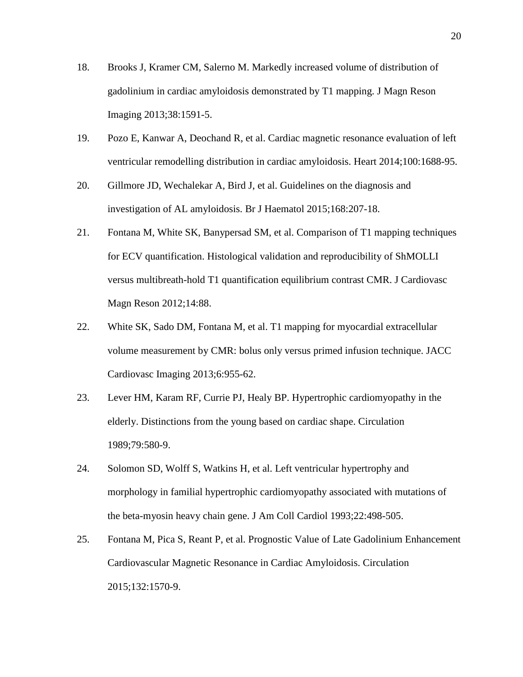- 18. Brooks J, Kramer CM, Salerno M. Markedly increased volume of distribution of gadolinium in cardiac amyloidosis demonstrated by T1 mapping. J Magn Reson Imaging 2013;38:1591-5.
- 19. Pozo E, Kanwar A, Deochand R, et al. Cardiac magnetic resonance evaluation of left ventricular remodelling distribution in cardiac amyloidosis. Heart 2014;100:1688-95.
- 20. Gillmore JD, Wechalekar A, Bird J, et al. Guidelines on the diagnosis and investigation of AL amyloidosis. Br J Haematol 2015;168:207-18.
- 21. Fontana M, White SK, Banypersad SM, et al. Comparison of T1 mapping techniques for ECV quantification. Histological validation and reproducibility of ShMOLLI versus multibreath-hold T1 quantification equilibrium contrast CMR. J Cardiovasc Magn Reson 2012;14:88.
- 22. White SK, Sado DM, Fontana M, et al. T1 mapping for myocardial extracellular volume measurement by CMR: bolus only versus primed infusion technique. JACC Cardiovasc Imaging 2013;6:955-62.
- 23. Lever HM, Karam RF, Currie PJ, Healy BP. Hypertrophic cardiomyopathy in the elderly. Distinctions from the young based on cardiac shape. Circulation 1989;79:580-9.
- 24. Solomon SD, Wolff S, Watkins H, et al. Left ventricular hypertrophy and morphology in familial hypertrophic cardiomyopathy associated with mutations of the beta-myosin heavy chain gene. J Am Coll Cardiol 1993;22:498-505.
- 25. Fontana M, Pica S, Reant P, et al. Prognostic Value of Late Gadolinium Enhancement Cardiovascular Magnetic Resonance in Cardiac Amyloidosis. Circulation 2015;132:1570-9.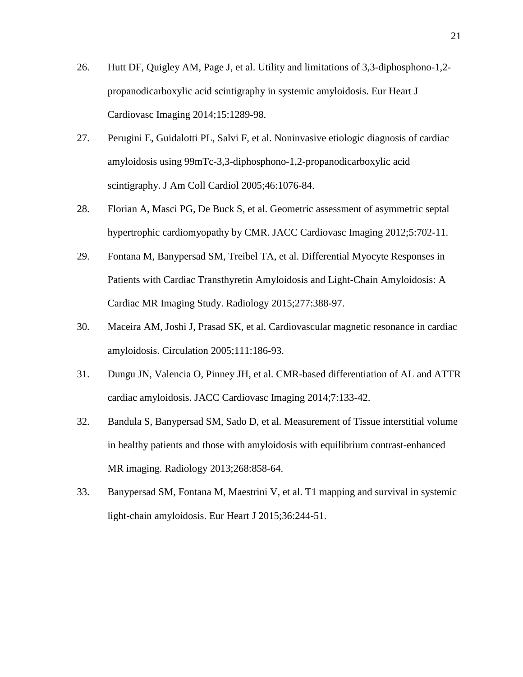- 26. Hutt DF, Quigley AM, Page J, et al. Utility and limitations of 3,3-diphosphono-1,2 propanodicarboxylic acid scintigraphy in systemic amyloidosis. Eur Heart J Cardiovasc Imaging 2014;15:1289-98.
- 27. Perugini E, Guidalotti PL, Salvi F, et al. Noninvasive etiologic diagnosis of cardiac amyloidosis using 99mTc-3,3-diphosphono-1,2-propanodicarboxylic acid scintigraphy. J Am Coll Cardiol 2005;46:1076-84.
- 28. Florian A, Masci PG, De Buck S, et al. Geometric assessment of asymmetric septal hypertrophic cardiomyopathy by CMR. JACC Cardiovasc Imaging 2012;5:702-11.
- 29. Fontana M, Banypersad SM, Treibel TA, et al. Differential Myocyte Responses in Patients with Cardiac Transthyretin Amyloidosis and Light-Chain Amyloidosis: A Cardiac MR Imaging Study. Radiology 2015;277:388-97.
- 30. Maceira AM, Joshi J, Prasad SK, et al. Cardiovascular magnetic resonance in cardiac amyloidosis. Circulation 2005;111:186-93.
- 31. Dungu JN, Valencia O, Pinney JH, et al. CMR-based differentiation of AL and ATTR cardiac amyloidosis. JACC Cardiovasc Imaging 2014;7:133-42.
- 32. Bandula S, Banypersad SM, Sado D, et al. Measurement of Tissue interstitial volume in healthy patients and those with amyloidosis with equilibrium contrast-enhanced MR imaging. Radiology 2013;268:858-64.
- 33. Banypersad SM, Fontana M, Maestrini V, et al. T1 mapping and survival in systemic light-chain amyloidosis. Eur Heart J 2015;36:244-51.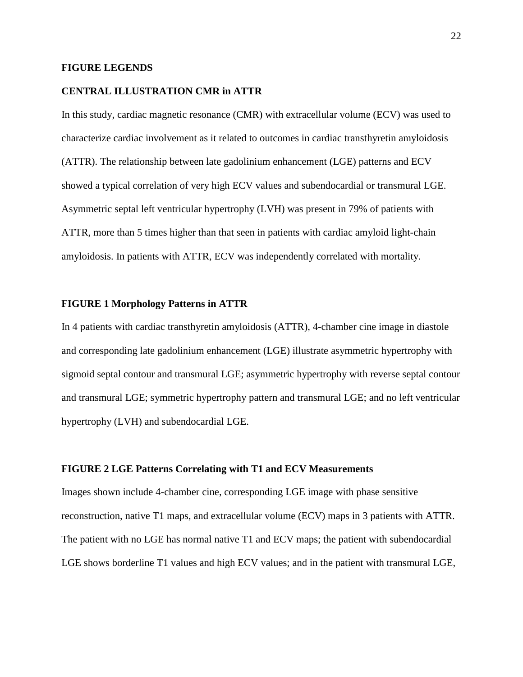#### **FIGURE LEGENDS**

#### **CENTRAL ILLUSTRATION CMR in ATTR**

In this study, cardiac magnetic resonance (CMR) with extracellular volume (ECV) was used to characterize cardiac involvement as it related to outcomes in cardiac transthyretin amyloidosis (ATTR). The relationship between late gadolinium enhancement (LGE) patterns and ECV showed a typical correlation of very high ECV values and subendocardial or transmural LGE. Asymmetric septal left ventricular hypertrophy (LVH) was present in 79% of patients with ATTR, more than 5 times higher than that seen in patients with cardiac amyloid light-chain amyloidosis. In patients with ATTR, ECV was independently correlated with mortality.

#### **FIGURE 1 Morphology Patterns in ATTR**

In 4 patients with cardiac transthyretin amyloidosis (ATTR), 4-chamber cine image in diastole and corresponding late gadolinium enhancement (LGE) illustrate asymmetric hypertrophy with sigmoid septal contour and transmural LGE; asymmetric hypertrophy with reverse septal contour and transmural LGE; symmetric hypertrophy pattern and transmural LGE; and no left ventricular hypertrophy (LVH) and subendocardial LGE.

#### **FIGURE 2 LGE Patterns Correlating with T1 and ECV Measurements**

Images shown include 4-chamber cine, corresponding LGE image with phase sensitive reconstruction, native T1 maps, and extracellular volume (ECV) maps in 3 patients with ATTR. The patient with no LGE has normal native T1 and ECV maps; the patient with subendocardial LGE shows borderline T1 values and high ECV values; and in the patient with transmural LGE,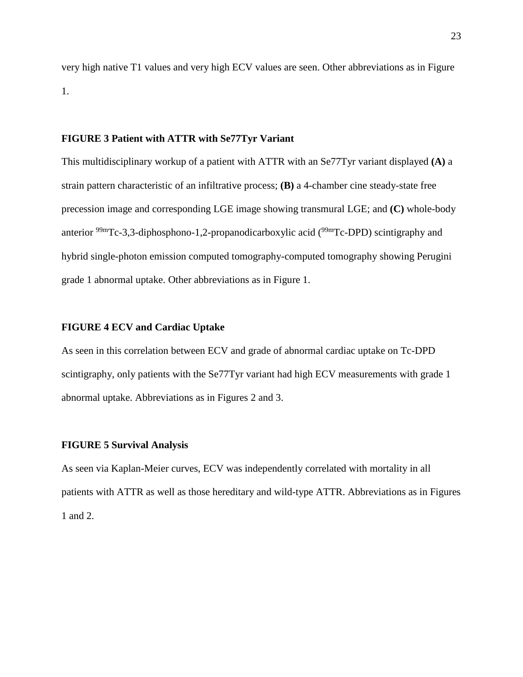very high native T1 values and very high ECV values are seen. Other abbreviations as in Figure 1.

#### **FIGURE 3 Patient with ATTR with Se77Tyr Variant**

This multidisciplinary workup of a patient with ATTR with an Se77Tyr variant displayed **(A)** a strain pattern characteristic of an infiltrative process; **(B)** a 4-chamber cine steady-state free precession image and corresponding LGE image showing transmural LGE; and **(C)** whole-body anterior <sup>99m</sup>Tc-3,3-diphosphono-1,2-propanodicarboxylic acid (<sup>99m</sup>Tc-DPD) scintigraphy and hybrid single-photon emission computed tomography-computed tomography showing Perugini grade 1 abnormal uptake. Other abbreviations as in Figure 1.

#### **FIGURE 4 ECV and Cardiac Uptake**

As seen in this correlation between ECV and grade of abnormal cardiac uptake on Tc-DPD scintigraphy, only patients with the Se77Tyr variant had high ECV measurements with grade 1 abnormal uptake. Abbreviations as in Figures 2 and 3.

#### **FIGURE 5 Survival Analysis**

As seen via Kaplan-Meier curves, ECV was independently correlated with mortality in all patients with ATTR as well as those hereditary and wild-type ATTR. Abbreviations as in Figures 1 and 2.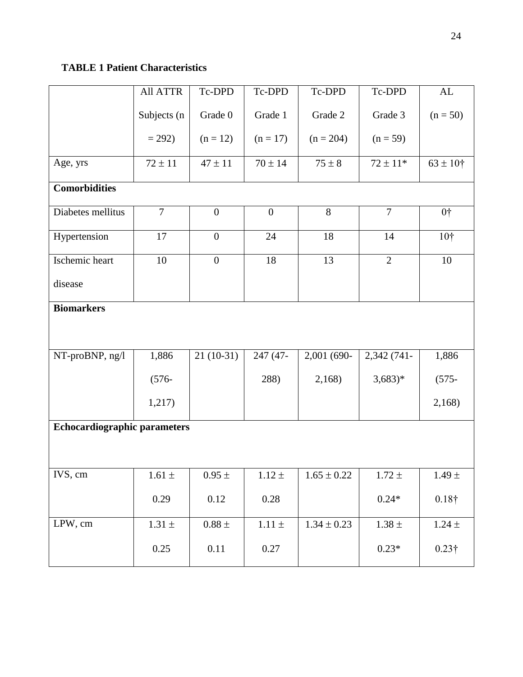## **TABLE 1 Patient Characteristics**

|                                     | <b>All ATTR</b> | Tc-DPD           | Tc-DPD           | Tc-DPD          | Tc-DPD         | ${\rm AL}$      |
|-------------------------------------|-----------------|------------------|------------------|-----------------|----------------|-----------------|
|                                     | Subjects (n     | Grade 0          | Grade 1          | Grade 2         | Grade 3        | $(n = 50)$      |
|                                     | $= 292$         | $(n = 12)$       | $(n = 17)$       | $(n = 204)$     | $(n = 59)$     |                 |
| Age, yrs                            | $72 \pm 11$     | $47 \pm 11$      | $70 \pm 14$      | $75 \pm 8$      | $72 \pm 11*$   | $63 \pm 10^{4}$ |
| <b>Comorbidities</b>                |                 |                  |                  |                 |                |                 |
| Diabetes mellitus                   | $\overline{7}$  | $\boldsymbol{0}$ | $\boldsymbol{0}$ | 8               | $\overline{7}$ | 0 <sup>†</sup>  |
| Hypertension                        | 17              | $\overline{0}$   | 24               | 18              | 14             | 10†             |
| Ischemic heart                      | 10              | $\boldsymbol{0}$ | 18               | 13              | $\overline{2}$ | 10              |
| disease                             |                 |                  |                  |                 |                |                 |
| <b>Biomarkers</b>                   |                 |                  |                  |                 |                |                 |
| NT-proBNP, ng/l                     | 1,886           | $21(10-31)$      | 247 (47-         | 2,001 (690-     | 2,342 (741-    | 1,886           |
|                                     | $(576 -$        |                  | 288)             | 2,168           | $(3,683)*$     | $(575 -$        |
|                                     | 1,217)          |                  |                  |                 |                | 2,168)          |
| <b>Echocardiographic parameters</b> |                 |                  |                  |                 |                |                 |
|                                     |                 |                  |                  |                 |                |                 |
| IVS, cm                             | $1.61 \pm$      | $0.95\,\pm\,$    | $1.12 \pm$       | $1.65 \pm 0.22$ | $1.72 \pm$     | $1.49 \pm$      |
|                                     | 0.29            | 0.12             | $0.28\,$         |                 | $0.24*$        | $0.18\dagger$   |
| LPW, cm                             | $1.31\pm$       | $0.88$ $\pm$     | $1.11\pm$        | $1.34 \pm 0.23$ | $1.38 \pm$     | $1.24\,\pm\,$   |
|                                     | 0.25            | 0.11             | 0.27             |                 | $0.23*$        | $0.23\dagger$   |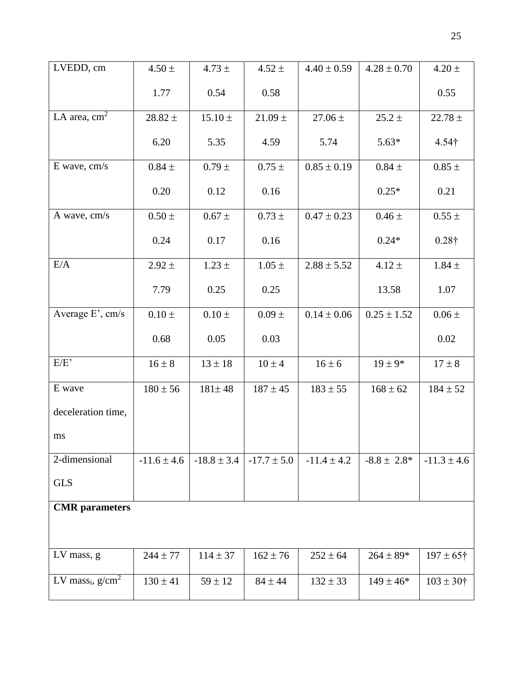| LVEDD, cm                       | $4.50 \pm$      | $4.73 \pm$      | $4.52 \pm$      | $4.40 \pm 0.59$ | $4.28 \pm 0.70$  | $4.20 \pm$           |
|---------------------------------|-----------------|-----------------|-----------------|-----------------|------------------|----------------------|
|                                 | 1.77            | 0.54            | 0.58            |                 |                  | 0.55                 |
| LA area, $cm2$                  | $28.82 \pm$     | $15.10 \pm$     | $21.09 \pm$     | $27.06 \pm$     | $25.2 \pm$       | $22.78 \pm$          |
|                                 | 6.20            | 5.35            | 4.59            | 5.74            | $5.63*$          | $4.54\dagger$        |
| E wave, cm/s                    | $0.84 \pm$      | $0.79 \pm$      | $0.75\,\pm\,$   | $0.85 \pm 0.19$ | $0.84 \pm$       | $0.85\,\pm\,$        |
|                                 | 0.20            | 0.12            | 0.16            |                 | $0.25*$          | 0.21                 |
| A wave, cm/s                    | $0.50 \pm$      | $0.67 \pm$      | $0.73 \pm$      | $0.47 \pm 0.23$ | $0.46 \pm$       | $0.55 \pm$           |
|                                 | 0.24            | 0.17            | 0.16            |                 | $0.24*$          | $0.28\dagger$        |
| E/A                             | $2.92 \pm$      | $1.23 \pm$      | $1.05 \pm$      | $2.88 \pm 5.52$ | $4.12 \pm$       | $1.84 \pm$           |
|                                 | 7.79            | 0.25            | 0.25            |                 | 13.58            | 1.07                 |
| Average E', cm/s                | $0.10 \, \pm$   | $0.10 \pm$      | $0.09 \pm$      | $0.14 \pm 0.06$ | $0.25 \pm 1.52$  | $0.06\,\pm\,$        |
|                                 | 0.68            | 0.05            | 0.03            |                 |                  | 0.02                 |
| E/E                             | $16 \pm 8$      | $13 \pm 18$     | $10 \pm 4$      | $16 \pm 6$      | $19 \pm 9*$      | $17 \pm 8$           |
| E wave                          | $180 \pm 56$    | $181 \pm 48$    | $187 \pm 45$    | $183 \pm 55$    | $168 \pm 62$     | $184 \pm 52$         |
| deceleration time,              |                 |                 |                 |                 |                  |                      |
| ms                              |                 |                 |                 |                 |                  |                      |
| 2-dimensional                   | $-11.6 \pm 4.6$ | $-18.8 \pm 3.4$ | $-17.7 \pm 5.0$ | $-11.4 \pm 4.2$ | $-8.8 \pm 2.8^*$ | $-11.3 \pm 4.6$      |
| <b>GLS</b>                      |                 |                 |                 |                 |                  |                      |
| <b>CMR</b> parameters           |                 |                 |                 |                 |                  |                      |
|                                 |                 |                 |                 |                 |                  |                      |
| LV mass, g                      | $244 \pm 77$    | $114 \pm 37$    | $162 \pm 76$    | $252 \pm 64$    | $264 \pm 89*$    | $197 \pm 65$ †       |
| LV mass <sub>i</sub> , $g/cm^2$ | $130 \pm 41$    | $59 \pm 12$     | $84 \pm 44$     | $132 \pm 33$    | $149 \pm 46*$    | $103 \pm 30^{\circ}$ |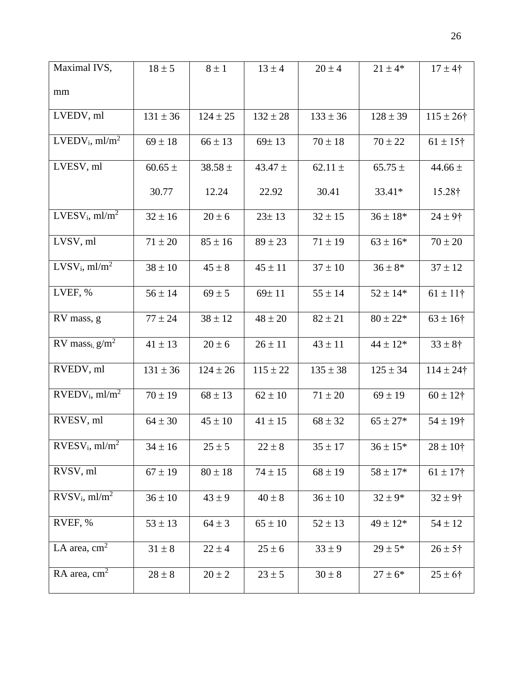| Maximal IVS,                             | $18 \pm 5$   | $8 \pm 1$    | $13 \pm 4$   | $20 \pm 4$   | $21 \pm 4*$  | $17 \pm 4$ †    |
|------------------------------------------|--------------|--------------|--------------|--------------|--------------|-----------------|
| mm                                       |              |              |              |              |              |                 |
| LVEDV, ml                                | $131 \pm 36$ | $124 \pm 25$ | $132 \pm 28$ | $133 \pm 36$ | $128 \pm 39$ | $115 \pm 26$ †  |
| $LVEDV_i$ , ml/m <sup>2</sup>            | $69 \pm 18$  | $66 \pm 13$  | $69 \pm 13$  | $70 \pm 18$  | $70 \pm 22$  | $61 \pm 15$ †   |
| LVESV, ml                                | 60.65 $\pm$  | $38.58 \pm$  | 43.47 $\pm$  | 62.11 $\pm$  | $65.75 \pm$  | 44.66 $\pm$     |
|                                          | 30.77        | 12.24        | 22.92        | 30.41        | 33.41*       | 15.28†          |
| $LVESV_i$ , ml/m <sup>2</sup>            | $32 \pm 16$  | $20 \pm 6$   | $23 \pm 13$  | $32 \pm 15$  | $36 \pm 18*$ | $24 \pm 9$ †    |
| LVSV, ml                                 | $71 \pm 20$  | $85 \pm 16$  | $89 \pm 23$  | $71 \pm 19$  | $63 \pm 16*$ | $70 \pm 20$     |
| LVSV <sub>i</sub> , ml/m <sup>2</sup>    | $38 \pm 10$  | $45 \pm 8$   | $45 \pm 11$  | $37 \pm 10$  | $36 \pm 8*$  | $37 \pm 12$     |
| LVEF, %                                  | $56 \pm 14$  | $69 \pm 5$   | 69±11        | $55 \pm 14$  | $52 \pm 14*$ | $61 \pm 11$ †   |
| RV mass, g                               | $77 \pm 24$  | $38 \pm 12$  | $48 \pm 20$  | $82 \pm 21$  | $80 \pm 22*$ | $63 \pm 16$ †   |
| RV mass <sub>i, <math>g/m^2</math></sub> | $41 \pm 13$  | $20 \pm 6$   | $26 \pm 11$  | $43 \pm 11$  | $44 \pm 12*$ | $33 \pm 8$ †    |
| RVEDV, ml                                | $131 \pm 36$ | $124 \pm 26$ | $115 \pm 22$ | $135 \pm 38$ | $125 \pm 34$ | $114 \pm 24$ †  |
| $RVEDV_i$ , ml/m <sup>2</sup>            | $70 \pm 19$  | $68 \pm 13$  | $62 \pm 10$  | $71 \pm 20$  | $69 \pm 19$  | $60 \pm 12$ †   |
| RVESV, ml                                | $64 \pm 30$  | $45 \pm 10$  | $41 \pm 15$  | $68 \pm 32$  | $65 \pm 27*$ | $54 \pm 19$ †   |
| RVESV <sub>i</sub> , ml/m <sup>2</sup>   | $34 \pm 16$  | $25 \pm 5$   | $22 \pm 8$   | $35 \pm 17$  | $36\pm15^*$  | $28 \pm 10^{4}$ |
| RVSV, ml                                 | $67 \pm 19$  | $80 \pm 18$  | $74 \pm 15$  | $68 \pm 19$  | $58 \pm 17*$ | $61 \pm 17$ †   |
| $RVSV_i$ , ml/m <sup>2</sup>             | $36 \pm 10$  | $43 \pm 9$   | $40 \pm 8$   | $36 \pm 10$  | $32 \pm 9*$  | $32 \pm 9$ †    |
| RVEF, %                                  | $53 \pm 13$  | $64 \pm 3$   | $65 \pm 10$  | $52 \pm 13$  | $49 \pm 12*$ | $54 \pm 12$     |
| LA area, $cm2$                           | $31 \pm 8$   | $22 \pm 4$   | $25 \pm 6$   | $33 \pm 9$   | $29 \pm 5*$  | $26 \pm 5$ †    |
| RA area, $cm2$                           | $28 \pm 8$   | $20 \pm 2$   | $23 \pm 5$   | $30 \pm 8$   | $27 \pm 6*$  | $25 \pm 6$ †    |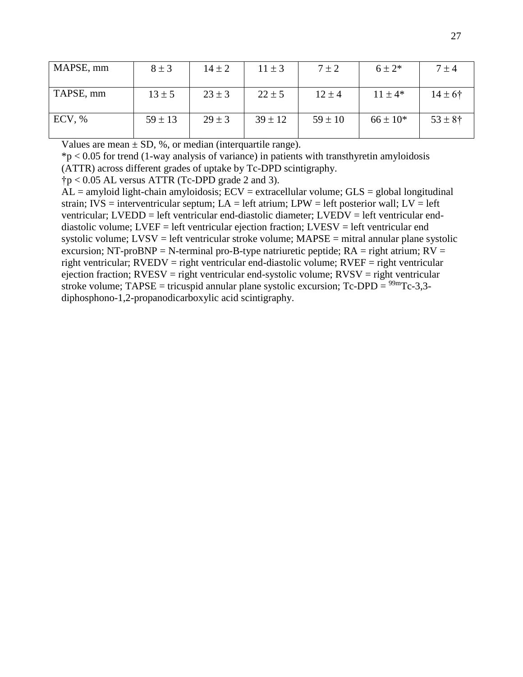| MAPSE, mm | $8 \pm 3$   | $14 \pm 2$ | $11 \pm 3$  | $7 \pm 2$   | $6 \pm 2*$   | $7 \pm 4$          |
|-----------|-------------|------------|-------------|-------------|--------------|--------------------|
| TAPSE, mm | $13 \pm 5$  | $23 \pm 3$ | $22 \pm 5$  | $12 \pm 4$  | $11 \pm 4*$  | $14 \pm 6^{\circ}$ |
| ECV, %    | $59 \pm 13$ | $29 \pm 3$ | $39 \pm 12$ | $59 \pm 10$ | $66 \pm 10*$ | $53 \pm 8$ †       |

Values are mean  $\pm$  SD, %, or median (interquartile range).

 $*p < 0.05$  for trend (1-way analysis of variance) in patients with transthyretin amyloidosis (ATTR) across different grades of uptake by Tc-DPD scintigraphy.

 $\uparrow p < 0.05$  AL versus ATTR (Tc-DPD grade 2 and 3).

 $AL =$ amyloid light-chain amyloidosis;  $ECV =$ extracellular volume;  $GLS =$  global longitudinal strain; IVS = interventricular septum; LA = left atrium; LPW = left posterior wall; LV = left ventricular; LVEDD = left ventricular end-diastolic diameter; LVEDV = left ventricular enddiastolic volume; LVEF = left ventricular ejection fraction; LVESV = left ventricular end systolic volume;  $LVSV = left$  ventricular stroke volume;  $MAPSE = mitral$  annular plane systolic excursion; NT-proBNP = N-terminal pro-B-type natriuretic peptide;  $RA =$  right atrium;  $RV =$ right ventricular; RVEDV = right ventricular end-diastolic volume; RVEF = right ventricular ejection fraction;  $RVESV = right$  ventricular end-systolic volume;  $RVSV = right$  ventricular stroke volume;  $TAPSE = tricuspid$  annular plane systolic excursion;  $Tc-DPD = \frac{99m}{Tc-3,3}$ diphosphono-1,2-propanodicarboxylic acid scintigraphy.